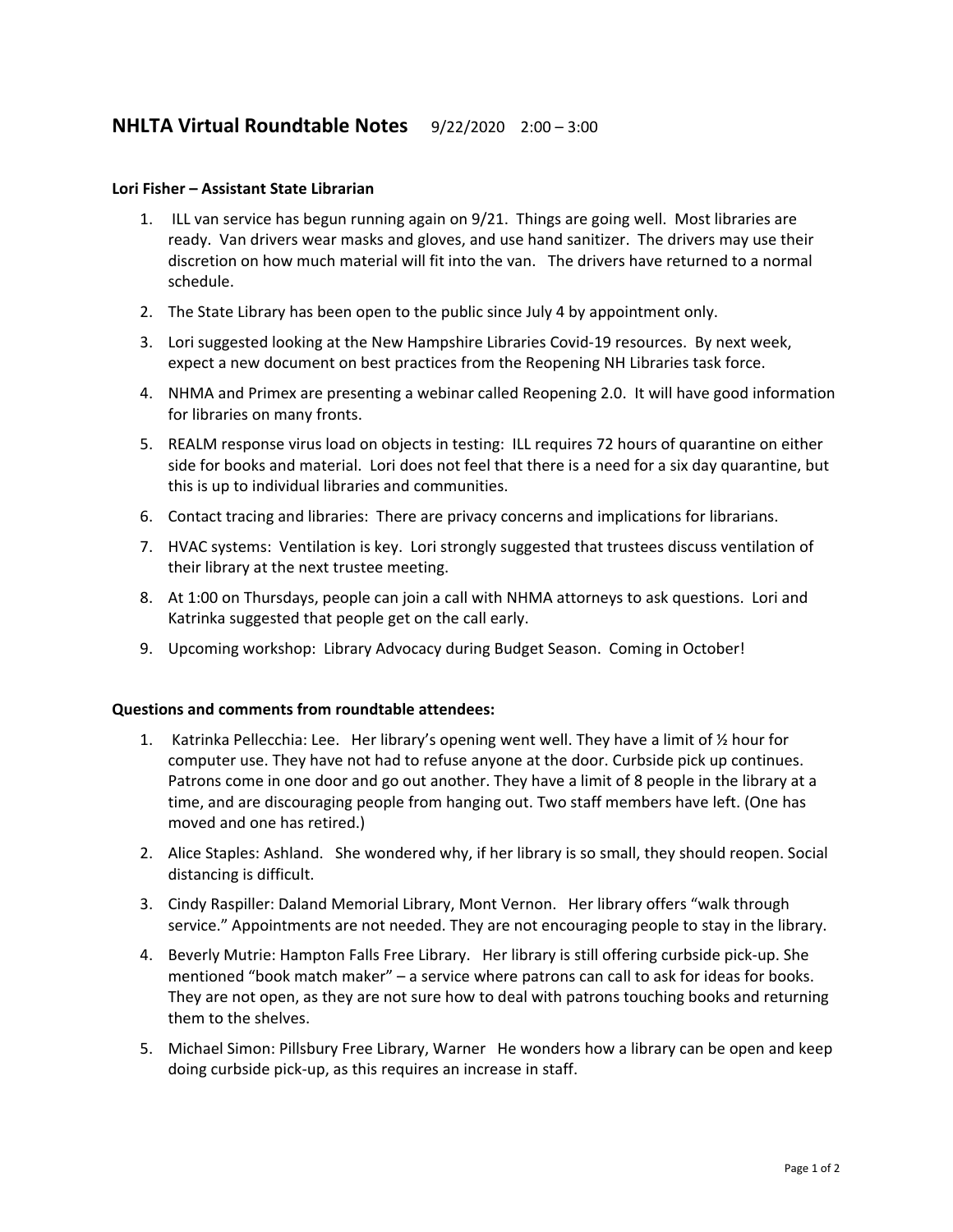## **NHLTA Virtual Roundtable Notes** 9/22/2020 2:00 – 3:00

## **Lori Fisher – Assistant State Librarian**

- 1. ILL van service has begun running again on 9/21. Things are going well. Most libraries are ready. Van drivers wear masks and gloves, and use hand sanitizer. The drivers may use their discretion on how much material will fit into the van. The drivers have returned to a normal schedule.
- 2. The State Library has been open to the public since July 4 by appointment only.
- 3. Lori suggested looking at the New Hampshire Libraries Covid-19 resources. By next week, expect a new document on best practices from the Reopening NH Libraries task force.
- 4. NHMA and Primex are presenting a webinar called Reopening 2.0. It will have good information for libraries on many fronts.
- 5. REALM response virus load on objects in testing: ILL requires 72 hours of quarantine on either side for books and material. Lori does not feel that there is a need for a six day quarantine, but this is up to individual libraries and communities.
- 6. Contact tracing and libraries: There are privacy concerns and implications for librarians.
- 7. HVAC systems: Ventilation is key. Lori strongly suggested that trustees discuss ventilation of their library at the next trustee meeting.
- 8. At 1:00 on Thursdays, people can join a call with NHMA attorneys to ask questions. Lori and Katrinka suggested that people get on the call early.
- 9. Upcoming workshop: Library Advocacy during Budget Season. Coming in October!

## **Questions and comments from roundtable attendees:**

- 1. Katrinka Pellecchia: Lee. Her library's opening went well. They have a limit of  $\frac{1}{2}$  hour for computer use. They have not had to refuse anyone at the door. Curbside pick up continues. Patrons come in one door and go out another. They have a limit of 8 people in the library at a time, and are discouraging people from hanging out. Two staff members have left. (One has moved and one has retired.)
- 2. Alice Staples: Ashland. She wondered why, if her library is so small, they should reopen. Social distancing is difficult.
- 3. Cindy Raspiller: Daland Memorial Library, Mont Vernon. Her library offers "walk through service." Appointments are not needed. They are not encouraging people to stay in the library.
- 4. Beverly Mutrie: Hampton Falls Free Library. Her library is still offering curbside pick-up. She mentioned "book match maker" – a service where patrons can call to ask for ideas for books. They are not open, as they are not sure how to deal with patrons touching books and returning them to the shelves.
- 5. Michael Simon: Pillsbury Free Library, Warner He wonders how a library can be open and keep doing curbside pick-up, as this requires an increase in staff.